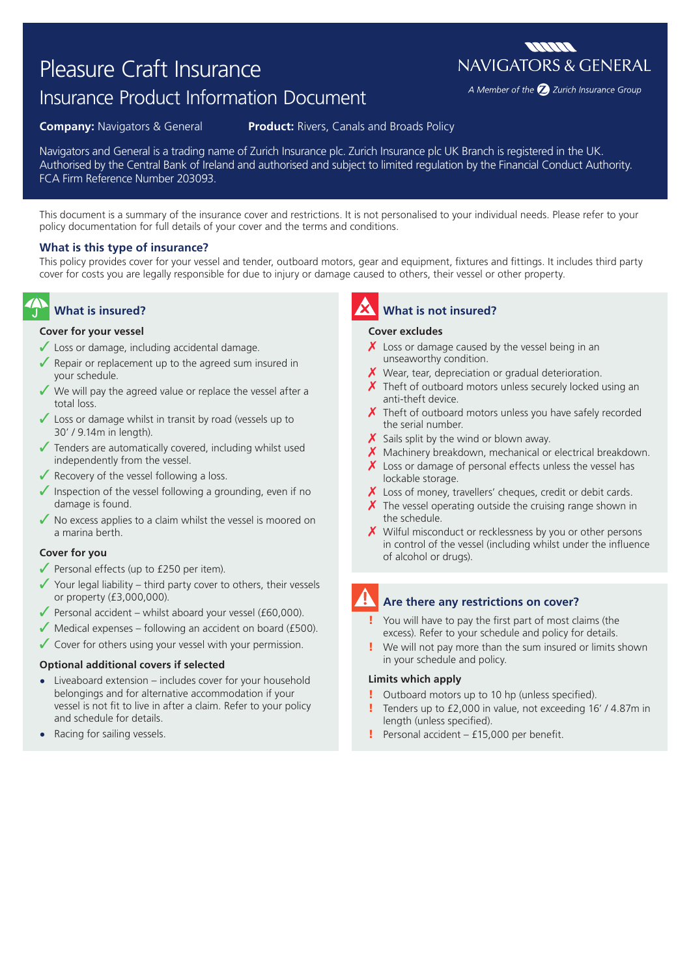# Pleasure Craft Insurance

# Insurance Product Information Document

**Company:** Navigators & General **Product:** Rivers, Canals and Broads Policy

Navigators and General is a trading name of Zurich Insurance plc. Zurich Insurance plc UK Branch is registered in the UK. Authorised by the Central Bank of Ireland and authorised and subject to limited regulation by the Financial Conduct Authority. FCA Firm Reference Number 203093.

This document is a summary of the insurance cover and restrictions. It is not personalised to your individual needs. Please refer to your policy documentation for full details of your cover and the terms and conditions.

## **What is this type of insurance?**

This policy provides cover for your vessel and tender, outboard motors, gear and equipment, fixtures and fittings. It includes third party cover for costs you are legally responsible for due to injury or damage caused to others, their vessel or other property.

## **What is insured?**

#### **Cover for your vessel**

- $\checkmark$  Loss or damage, including accidental damage.
- $\sqrt{\ }$  Repair or replacement up to the agreed sum insured in your schedule.
- We will pay the agreed value or replace the vessel after a total loss.
- ✓ Loss or damage whilst in transit by road (vessels up to 30' / 9.14m in length).
- $\sqrt{\ }$  Tenders are automatically covered, including whilst used independently from the vessel.
- $\sqrt{\ }$  Recovery of the vessel following a loss.
- $\sqrt{\ }$  Inspection of the vessel following a grounding, even if no damage is found.
- $\sqrt{\ }$  No excess applies to a claim whilst the vessel is moored on a marina berth.

#### **Cover for you**

- $\sqrt{\ }$  Personal effects (up to £250 per item).
- $\checkmark$  Your legal liability third party cover to others, their vessels or property (£3,000,000).
- $\blacktriangledown$  Personal accident whilst aboard your vessel (£60,000).
- $\sqrt{\frac{1}{100}}$  Medical expenses following an accident on board (£500).
- $\sqrt{\ }$  Cover for others using your vessel with your permission.

#### **Optional additional covers if selected**

- **•** Liveaboard extension includes cover for your household belongings and for alternative accommodation if your vessel is not fit to live in after a claim. Refer to your policy and schedule for details.
- **•** Racing for sailing vessels.

## **What is not insured?**

#### **Cover excludes**

- $\chi$  Loss or damage caused by the vessel being in an unseaworthy condition.
- $\boldsymbol{X}$  Wear, tear, depreciation or gradual deterioration.
- $\chi$  Theft of outboard motors unless securely locked using an anti-theft device.
- $\chi$  Theft of outboard motors unless you have safely recorded the serial number.
- $\boldsymbol{X}$  Sails split by the wind or blown away.
- $\boldsymbol{X}$  Machinery breakdown, mechanical or electrical breakdown.
- $\boldsymbol{X}$  Loss or damage of personal effects unless the vessel has lockable storage.
- $\chi$  Loss of money, travellers' cheques, credit or debit cards.
- $\chi$  The vessel operating outside the cruising range shown in the schedule.
- X Wilful misconduct or recklessness by you or other persons in control of the vessel (including whilst under the influence of alcohol or drugs).

## **Are there any restrictions on cover?**

- You will have to pay the first part of most claims (the excess). Refer to your schedule and policy for details.
- We will not pay more than the sum insured or limits shown in your schedule and policy.

### **Limits which apply**

- Outboard motors up to 10 hp (unless specified).
- Tenders up to £2,000 in value, not exceeding 16' / 4.87m in length (unless specified).
- ! Personal accident £15,000 per benefit.

**MANA NAVIGATORS & GENERAL** 

A Member of the 2 Zurich Insurance Group